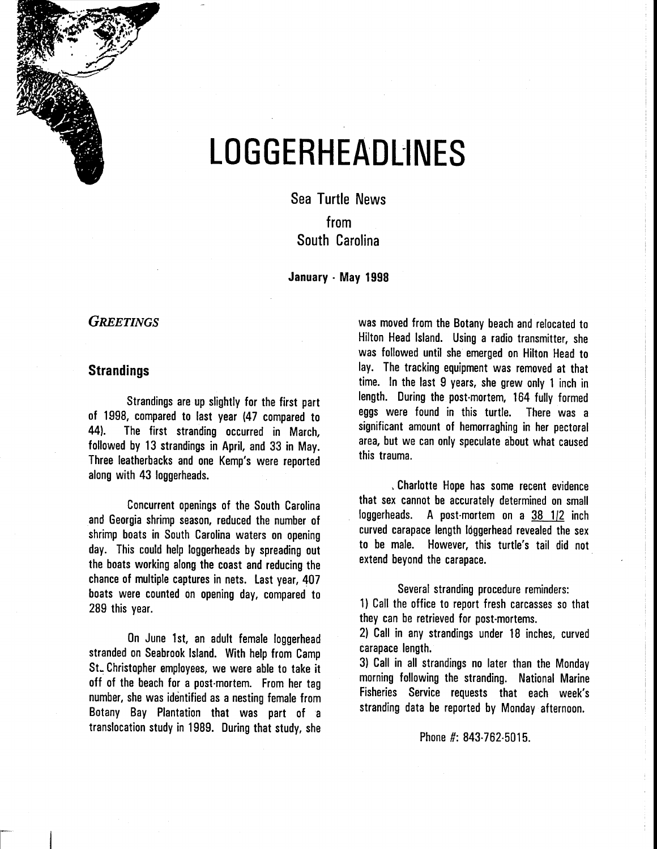

# **LOGGERHEADliNES**

Sea Turtle News from South Carolina

January · May 1998

## *GREETINGS*

### **Strandings**

Strandings are up slightly for the first part of 1998, compared to last year (47 compared to 44). The first stranding occurred in March, followed by 13 strandings in April, and 33 in May. Three leatherbacks and one Kemp's were reported along with 43 loggerheads.

Concurrent openings of the South Carolina and Georgia shrimp season, reduced the number of shrimp boats in South Carolina waters on opening day. This could help loggerheads by spreading out the boats working along the coast and reducing the chance of multiple captures in nets. last year, 407 boats were counted on opening day, compared to 289 this year.

On June 1st, an adult female loggerhead stranded on Seabrook Island. With help from Camp SL Christopher employees, we were able to take it off of the beach for a post-mortem. From her tag number, she was identified as a nesting female from Botany Bay Plantation that was part of a translocation study in 1989. During that study, she was moved from the Botany beach and relocated to Hilton Head Island. Using a radio transmitter, she was followed until she emerged on Hilton Head to lay. The tracking equipment was removed at that time. In the last 9 years, she grew only 1 inch in length. During the post-mortem, 164 fully formed eggs were found in this turtle. There was a significant amount of hemorraghing in her pectoral area, but we can only speculate about what caused this trauma.

, Charlotte Hope has some recent evidence that sex cannot be accurately determined on small loggerheads. A post-mortem on a  $38/1/2$  inch curved carapace length loggerhead revealed the sex to be male. However, this turtle's tail did not extend beyond the carapace.

Several stranding procedure reminders:

1) Call the office to report fresh carcasses so that they can be retrieved for post-mortems.

2) Call in any strandings under 18 inches, curved carapace length.

3) Call in all strandings no later than the Monday morning following the stranding. National Marine Fisheries Service requests that each week's stranding data be reported by Monday afternoon.

Phone #: 843-762-5015.